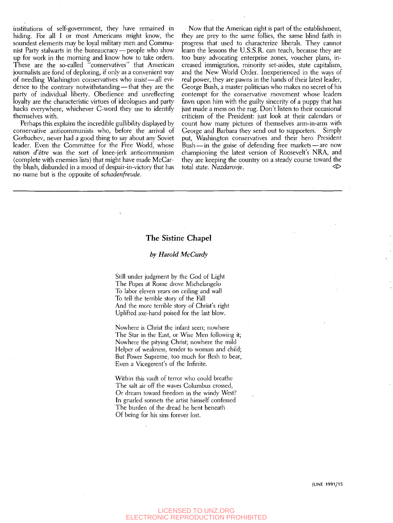institutions of self-government, they have remained in hiding. For all I or most Americans might know, the soundest elements may be loyal military men and Communist Party stalwarts in the bureaucracy — people who show up for work in the morning and know how to take orders. These are the so-called "conservatives" that American journalists are fond of deploring, if only as a convenient way of needling Washington conservatives who insist—all evidence to the contrary notwithstanding — that they are the party of individual liberty. Obedience and unreflecting loyalty are the characteristic virtues of ideologues and party hacks everywhere, whichever C-word they use to identify themselves with.

Perhaps this explains the incredible gullibility displayed by conservative anticommunists who, before the arrival of Gorbachev, never had a good thing to say about any Soviet leader. Even the Committee for the Free World, whose *raison d'etre* was the sort of knee-jerk anticommunism (complete with enemies lists) that might have made McCarthy blush, disbanded in a mood of despair-in-victory that has no name but is the opposite of *schadenfreude.* 

Now that the American right is part of the establishment, they are prey to the same follies, the same blind faith in progress that used to characterize liberals. They cannot learn the lessons the U.S.S.R. can teach, because they are too busy advocating enterprise zones, voucher plans, increased immigration, minority set-asides, state capitalism, and the New World Order. Inexperienced in the ways of real power, they are pawns in the hands of their latest leader, George Bush, a master politician who makes no secret of his contempt for the conservative movement whose leaders fawn upon him with the guilty sincerity of a puppy that has just made a mess on the rug. Don't listen to their occasional criticism of the President: just look at their calendars or count how many pictures of themselves arm-in-arm with George and Barbara they send out to supporters. Simply put, Washington conservatives and their hero President Bush — in the guise of defending free markets — are now championing the latest version of Roosevelt's NRA, and they are keeping the country on a steady course toward the total state. *Nazdarovje*.

### The Sistine Chapel

#### *by Harold McCurdy*

Still under judgment by the God of Light The Popes at Rome drove Michelangelo To labor eleven years on ceiling and wall To tell- the terrible story of the Fall And the more terrible story of Christ's right Uplifted axe-hand poised for the last blow.

Nowhere is Christ the infant seen; nowhere The Star in the East, or Wise Men following it; Nowhere the pitying Christ; nowhere the mild Helper of weakness, tender to woman and child; But Power Supreme, too much for flesh to bear. Even a Vicegerent's of the Infinite.

Within this vault of terror who could breathe The salt air off the waves Columbus crossed, Or dream toward freedom in the windy West? In gnarled sonnets the artist himself confessed The burden of the dread he bent beneath Of being for his sins forever lost.

JUNE 1991/15